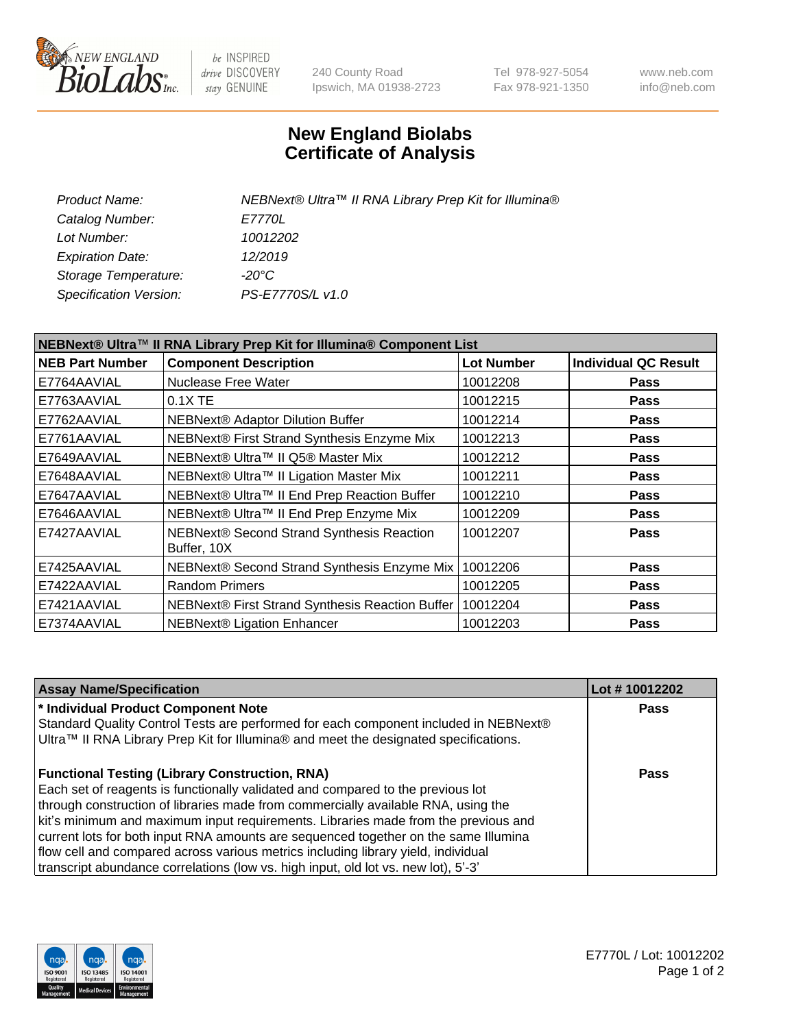

 $be$  INSPIRED drive DISCOVERY stay GENUINE

240 County Road Ipswich, MA 01938-2723 Tel 978-927-5054 Fax 978-921-1350 www.neb.com info@neb.com

## **New England Biolabs Certificate of Analysis**

| Product Name:           | NEBNext® Ultra™ II RNA Library Prep Kit for Illumina® |
|-------------------------|-------------------------------------------------------|
| Catalog Number:         | <i>E7770L</i>                                         |
| Lot Number:             | 10012202                                              |
| <b>Expiration Date:</b> | 12/2019                                               |
| Storage Temperature:    | -20°C                                                 |
| Specification Version:  | PS-E7770S/L v1.0                                      |
|                         |                                                       |

| NEBNext® Ultra™ II RNA Library Prep Kit for Illumina® Component List |                                                            |                   |                             |  |  |
|----------------------------------------------------------------------|------------------------------------------------------------|-------------------|-----------------------------|--|--|
| <b>NEB Part Number</b>                                               | <b>Component Description</b>                               | <b>Lot Number</b> | <b>Individual QC Result</b> |  |  |
| E7764AAVIAL                                                          | Nuclease Free Water                                        | 10012208          | <b>Pass</b>                 |  |  |
| E7763AAVIAL                                                          | $0.1X$ TE                                                  | 10012215          | <b>Pass</b>                 |  |  |
| E7762AAVIAL                                                          | <b>NEBNext® Adaptor Dilution Buffer</b>                    | 10012214          | <b>Pass</b>                 |  |  |
| E7761AAVIAL                                                          | NEBNext® First Strand Synthesis Enzyme Mix                 | 10012213          | <b>Pass</b>                 |  |  |
| E7649AAVIAL                                                          | NEBNext® Ultra™ II Q5® Master Mix                          | 10012212          | <b>Pass</b>                 |  |  |
| E7648AAVIAL                                                          | NEBNext® Ultra™ II Ligation Master Mix                     | 10012211          | <b>Pass</b>                 |  |  |
| E7647AAVIAL                                                          | NEBNext® Ultra™ II End Prep Reaction Buffer                | 10012210          | <b>Pass</b>                 |  |  |
| E7646AAVIAL                                                          | NEBNext® Ultra™ II End Prep Enzyme Mix                     | 10012209          | <b>Pass</b>                 |  |  |
| E7427AAVIAL                                                          | NEBNext® Second Strand Synthesis Reaction<br>Buffer, 10X   | 10012207          | <b>Pass</b>                 |  |  |
| E7425AAVIAL                                                          | NEBNext® Second Strand Synthesis Enzyme Mix                | 10012206          | <b>Pass</b>                 |  |  |
| E7422AAVIAL                                                          | <b>Random Primers</b>                                      | 10012205          | <b>Pass</b>                 |  |  |
| E7421AAVIAL                                                          | NEBNext® First Strand Synthesis Reaction Buffer   10012204 |                   | <b>Pass</b>                 |  |  |
| E7374AAVIAL                                                          | NEBNext® Ligation Enhancer                                 | 10012203          | <b>Pass</b>                 |  |  |

| <b>Assay Name/Specification</b>                                                      | Lot #10012202 |
|--------------------------------------------------------------------------------------|---------------|
| * Individual Product Component Note                                                  | <b>Pass</b>   |
| Standard Quality Control Tests are performed for each component included in NEBNext® |               |
| Ultra™ II RNA Library Prep Kit for Illumina® and meet the designated specifications. |               |
| <b>Functional Testing (Library Construction, RNA)</b>                                | Pass          |
| Each set of reagents is functionally validated and compared to the previous lot      |               |
| through construction of libraries made from commercially available RNA, using the    |               |
| kit's minimum and maximum input requirements. Libraries made from the previous and   |               |
| current lots for both input RNA amounts are sequenced together on the same Illumina  |               |
| flow cell and compared across various metrics including library yield, individual    |               |
| transcript abundance correlations (low vs. high input, old lot vs. new lot), 5'-3'   |               |